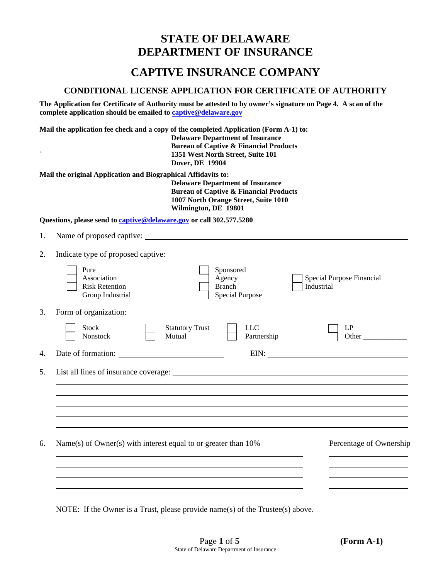# **STATE OF DELAWARE DEPARTMENT OF INSURANCE**

## **CAPTIVE INSURANCE COMPANY**

## **CONDITIONAL LICENSE APPLICATION FOR CERTIFICATE OF AUTHORITY**

**The Application for Certificate of Authority must be attested to by owner's signature on Page 4. A scan of the complete application should be emailed to [captive@delaware.gov](mailto:captive@delaware.gov)**

**Mail the application fee check and a copy of the completed Application (Form A-1) to: Delaware Department of Insurance Bureau of Captive & Financial Products ` 1351 West North Street, Suite 101 Dover, DE 19904**

**Mail the original Application and Biographical Affidavits to:** 

**Delaware Department of Insurance Bureau of Captive & Financial Products 1007 North Orange Street, Suite 1010 Wilmington, DE 19801**

**Questions, please send t[o captive@delaware.gov](mailto:captive@delaware.gov) or call 302.577.5280**

- 1. Name of proposed captive:
- 2. Indicate type of proposed captive:

|    | Pure<br>Association<br><b>Risk Retention</b><br>Group Industrial               |                                  | Sponsored<br>Agency<br><b>Branch</b><br><b>Special Purpose</b> | Special Purpose Financial<br>Industrial                                                                                                                                                                                        |
|----|--------------------------------------------------------------------------------|----------------------------------|----------------------------------------------------------------|--------------------------------------------------------------------------------------------------------------------------------------------------------------------------------------------------------------------------------|
| 3. | Form of organization:                                                          |                                  |                                                                |                                                                                                                                                                                                                                |
|    | <b>Stock</b><br>Nonstock                                                       | <b>Statutory Trust</b><br>Mutual | <b>LLC</b><br>Partnership                                      | LP<br>Other                                                                                                                                                                                                                    |
| 4. |                                                                                |                                  |                                                                | EIN: New York Contract the Contract of the Contract of the Contract of the Contract of the Contract of the Contract of the Contract of the Contract of the Contract of the Contract of the Contract of the Contract of the Con |
|    |                                                                                |                                  |                                                                |                                                                                                                                                                                                                                |
| 6. | Name(s) of Owner(s) with interest equal to or greater than 10%                 |                                  |                                                                | Percentage of Ownership                                                                                                                                                                                                        |
|    | NOTE: If the Owner is a Trust, please provide name(s) of the Trustee(s) above. |                                  |                                                                |                                                                                                                                                                                                                                |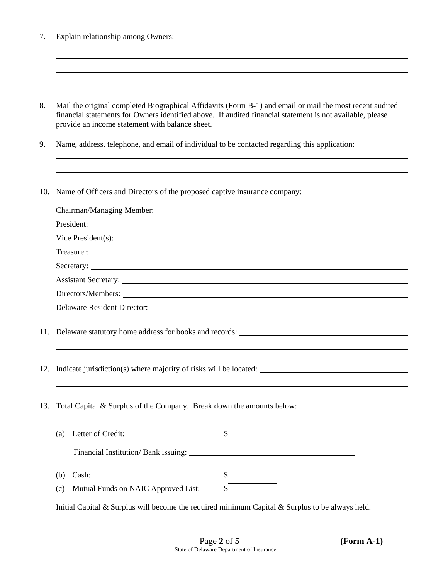| 7. | Explain relationship among Owners: |  |
|----|------------------------------------|--|
|    |                                    |  |

| Mail the original completed Biographical Affidavits (Form B-1) and email or mail the most recent audited  |
|-----------------------------------------------------------------------------------------------------------|
| financial statements for Owners identified above. If audited financial statement is not available, please |
| provide an income statement with balance sheet.                                                           |

9. Name, address, telephone, and email of individual to be contacted regarding this application:

10. Name of Officers and Directors of the proposed captive insurance company:

| President:                                               |
|----------------------------------------------------------|
| Vice President(s):                                       |
|                                                          |
|                                                          |
| Assistant Secretary: <u>New York: William Secretary:</u> |
|                                                          |
|                                                          |
|                                                          |

- 11. Delaware statutory home address for books and records:
- 12. Indicate jurisdiction(s) where majority of risks will be located:
- 13. Total Capital & Surplus of the Company. Break down the amounts below:

|     | (a) Letter of Credit:                |  |
|-----|--------------------------------------|--|
|     | Financial Institution/ Bank issuing: |  |
|     |                                      |  |
| (b) | Cash:                                |  |

(c) Mutual Funds on NAIC Approved List: \$

Initial Capital & Surplus will become the required minimum Capital & Surplus to be always held.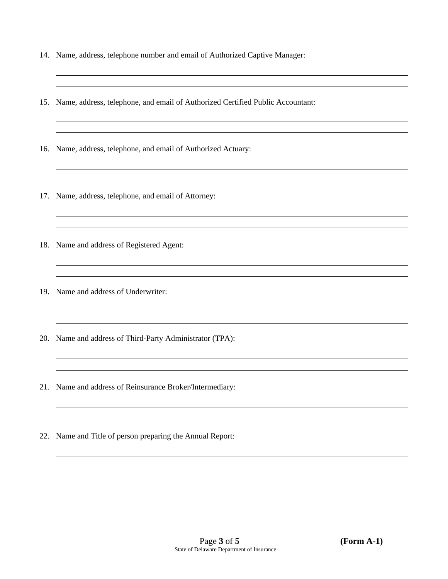- 14. Name, address, telephone number and email of Authorized Captive Manager:
- 15. Name, address, telephone, and email of Authorized Certified Public Accountant:
- 16. Name, address, telephone, and email of Authorized Actuary:
- 17. Name, address, telephone, and email of Attorney:
- 18. Name and address of Registered Agent:
- 19. Name and address of Underwriter:
- 20. Name and address of Third-Party Administrator (TPA):
- 21. Name and address of Reinsurance Broker/Intermediary:
- 22. Name and Title of person preparing the Annual Report: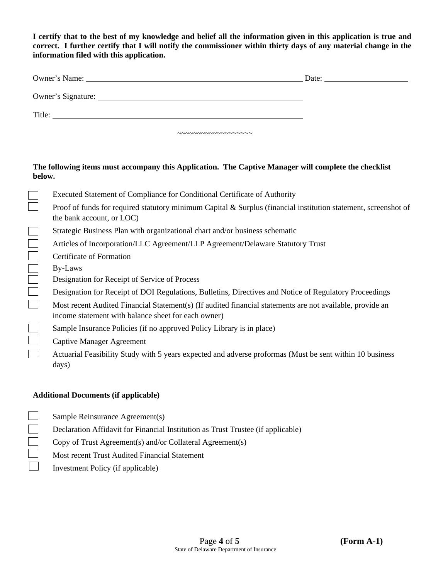**I certify that to the best of my knowledge and belief all the information given in this application is true and correct. I further certify that I will notify the commissioner within thirty days of any material change in the information filed with this application.** 

| Owner's Name:      |                                                                    | Date: |
|--------------------|--------------------------------------------------------------------|-------|
| Owner's Signature: |                                                                    |       |
| Title:             |                                                                    |       |
|                    | $\sim\sim\sim\sim\sim\sim\sim\sim\sim\sim\sim\sim\sim\sim\sim\sim$ |       |

#### **The following items must accompany this Application. The Captive Manager will complete the checklist below.**

|              | Executed Statement of Compliance for Conditional Certificate of Authority                                                                                        |
|--------------|------------------------------------------------------------------------------------------------------------------------------------------------------------------|
|              | Proof of funds for required statutory minimum Capital & Surplus (financial institution statement, screenshot of<br>the bank account, or LOC)                     |
|              | Strategic Business Plan with organizational chart and/or business schematic                                                                                      |
| $\mathbf{I}$ | Articles of Incorporation/LLC Agreement/LLP Agreement/Delaware Statutory Trust                                                                                   |
|              | Certificate of Formation                                                                                                                                         |
|              | By-Laws                                                                                                                                                          |
|              | Designation for Receipt of Service of Process                                                                                                                    |
| $\Box$       | Designation for Receipt of DOI Regulations, Bulletins, Directives and Notice of Regulatory Proceedings                                                           |
| $\mathbf{I}$ | Most recent Audited Financial Statement(s) (If audited financial statements are not available, provide an<br>income statement with balance sheet for each owner) |
|              | Sample Insurance Policies (if no approved Policy Library is in place)                                                                                            |
|              | <b>Captive Manager Agreement</b>                                                                                                                                 |
|              | Actuarial Feasibility Study with 5 years expected and adverse proformas (Must be sent within 10 business<br>days)                                                |
|              |                                                                                                                                                                  |

## **Additional Documents (if applicable)**

- $\perp$ Sample Reinsurance Agreement(s)
- $\Box$ Declaration Affidavit for Financial Institution as Trust Trustee (if applicable)
- $\Box$ Copy of Trust Agreement(s) and/or Collateral Agreement(s)
- $\Box$ Most recent Trust Audited Financial Statement
- $\Box$ Investment Policy (if applicable)